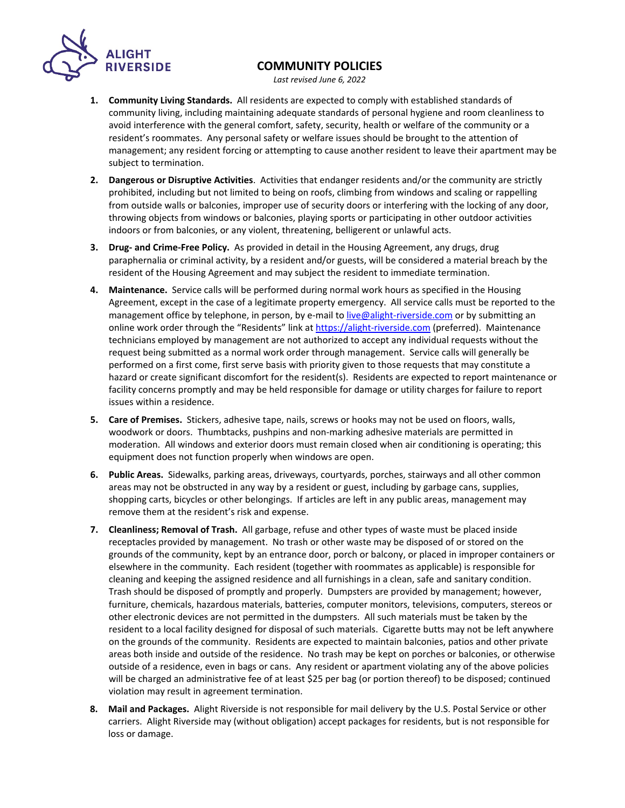

## **COMMUNITY POLICIES**

*Last revised June 6, 2022*

- **1. Community Living Standards.** All residents are expected to comply with established standards of community living, including maintaining adequate standards of personal hygiene and room cleanliness to avoid interference with the general comfort, safety, security, health or welfare of the community or a resident's roommates. Any personal safety or welfare issues should be brought to the attention of management; any resident forcing or attempting to cause another resident to leave their apartment may be subject to termination.
- **2. Dangerous or Disruptive Activities**.Activities that endanger residents and/or the community are strictly prohibited, including but not limited to being on roofs, climbing from windows and scaling or rappelling from outside walls or balconies, improper use of security doors or interfering with the locking of any door, throwing objects from windows or balconies, playing sports or participating in other outdoor activities indoors or from balconies, or any violent, threatening, belligerent or unlawful acts.
- **3. Drug‐ and Crime‐Free Policy.** As provided in detail in the Housing Agreement, any drugs, drug paraphernalia or criminal activity, by a resident and/or guests, will be considered a material breach by the resident of the Housing Agreement and may subject the resident to immediate termination.
- **4. Maintenance.** Service calls will be performed during normal work hours as specified in the Housing Agreement, except in the case of a legitimate property emergency. All service calls must be reported to the management office by telephone, in person, by e-mail to live@alight-riverside.com or by submitting an online work order through the "Residents" link at https://alight-riverside.com (preferred). Maintenance technicians employed by management are not authorized to accept any individual requests without the request being submitted as a normal work order through management. Service calls will generally be performed on a first come, first serve basis with priority given to those requests that may constitute a hazard or create significant discomfort for the resident(s). Residents are expected to report maintenance or facility concerns promptly and may be held responsible for damage or utility charges for failure to report issues within a residence.
- **5. Care of Premises.** Stickers, adhesive tape, nails, screws or hooks may not be used on floors, walls, woodwork or doors. Thumbtacks, pushpins and non-marking adhesive materials are permitted in moderation. All windows and exterior doors must remain closed when air conditioning is operating; this equipment does not function properly when windows are open.
- **6. Public Areas.** Sidewalks, parking areas, driveways, courtyards, porches, stairways and all other common areas may not be obstructed in any way by a resident or guest, including by garbage cans, supplies, shopping carts, bicycles or other belongings. If articles are left in any public areas, management may remove them at the resident's risk and expense.
- **7. Cleanliness; Removal of Trash.** All garbage, refuse and other types of waste must be placed inside receptacles provided by management. No trash or other waste may be disposed of or stored on the grounds of the community, kept by an entrance door, porch or balcony, or placed in improper containers or elsewhere in the community. Each resident (together with roommates as applicable) is responsible for cleaning and keeping the assigned residence and all furnishings in a clean, safe and sanitary condition. Trash should be disposed of promptly and properly. Dumpsters are provided by management; however, furniture, chemicals, hazardous materials, batteries, computer monitors, televisions, computers, stereos or other electronic devices are not permitted in the dumpsters. All such materials must be taken by the resident to a local facility designed for disposal of such materials. Cigarette butts may not be left anywhere on the grounds of the community. Residents are expected to maintain balconies, patios and other private areas both inside and outside of the residence. No trash may be kept on porches or balconies, or otherwise outside of a residence, even in bags or cans. Any resident or apartment violating any of the above policies will be charged an administrative fee of at least \$25 per bag (or portion thereof) to be disposed; continued violation may result in agreement termination.
- **8. Mail and Packages.** Alight Riverside is not responsible for mail delivery by the U.S. Postal Service or other carriers. Alight Riverside may (without obligation) accept packages for residents, but is not responsible for loss or damage.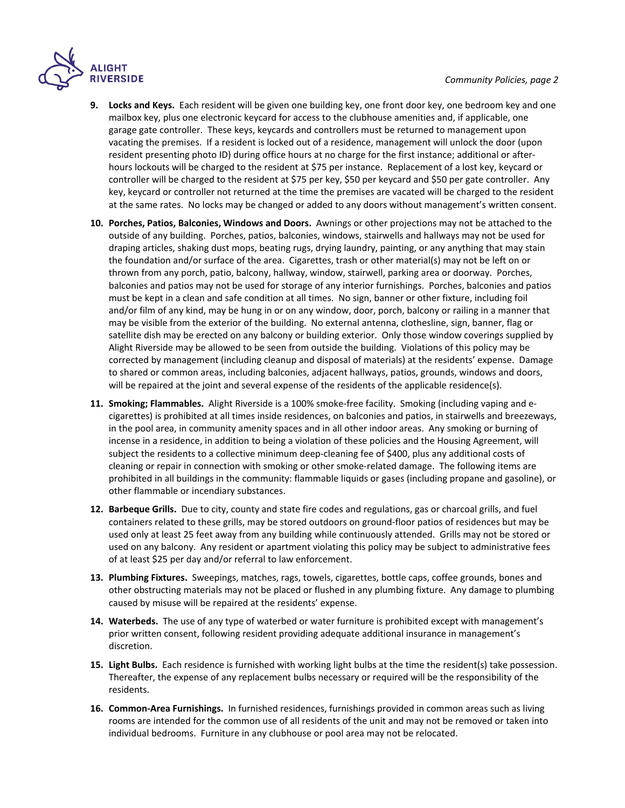

- **9. Locks and Keys.** Each resident will be given one building key, one front door key, one bedroom key and one mailbox key, plus one electronic keycard for access to the clubhouse amenities and, if applicable, one garage gate controller. These keys, keycards and controllers must be returned to management upon vacating the premises. If a resident is locked out of a residence, management will unlock the door (upon resident presenting photo ID) during office hours at no charge for the first instance; additional or after‐ hours lockouts will be charged to the resident at \$75 per instance. Replacement of a lost key, keycard or controller will be charged to the resident at \$75 per key, \$50 per keycard and \$50 per gate controller. Any key, keycard or controller not returned at the time the premises are vacated will be charged to the resident at the same rates. No locks may be changed or added to any doors without management's written consent.
- **10. Porches, Patios, Balconies, Windows and Doors.** Awnings or other projections may not be attached to the outside of any building. Porches, patios, balconies, windows, stairwells and hallways may not be used for draping articles, shaking dust mops, beating rugs, drying laundry, painting, or any anything that may stain the foundation and/or surface of the area. Cigarettes, trash or other material(s) may not be left on or thrown from any porch, patio, balcony, hallway, window, stairwell, parking area or doorway. Porches, balconies and patios may not be used for storage of any interior furnishings. Porches, balconies and patios must be kept in a clean and safe condition at all times. No sign, banner or other fixture, including foil and/or film of any kind, may be hung in or on any window, door, porch, balcony or railing in a manner that may be visible from the exterior of the building. No external antenna, clothesline, sign, banner, flag or satellite dish may be erected on any balcony or building exterior. Only those window coverings supplied by Alight Riverside may be allowed to be seen from outside the building. Violations of this policy may be corrected by management (including cleanup and disposal of materials) at the residents' expense. Damage to shared or common areas, including balconies, adjacent hallways, patios, grounds, windows and doors, will be repaired at the joint and several expense of the residents of the applicable residence(s).
- **11. Smoking; Flammables.** Alight Riverside is a 100% smoke‐free facility. Smoking (including vaping and e‐ cigarettes) is prohibited at all times inside residences, on balconies and patios, in stairwells and breezeways, in the pool area, in community amenity spaces and in all other indoor areas. Any smoking or burning of incense in a residence, in addition to being a violation of these policies and the Housing Agreement, will subject the residents to a collective minimum deep-cleaning fee of \$400, plus any additional costs of cleaning or repair in connection with smoking or other smoke-related damage. The following items are prohibited in all buildings in the community: flammable liquids or gases (including propane and gasoline), or other flammable or incendiary substances.
- **12. Barbeque Grills.** Due to city, county and state fire codes and regulations, gas or charcoal grills, and fuel containers related to these grills, may be stored outdoors on ground-floor patios of residences but may be used only at least 25 feet away from any building while continuously attended. Grills may not be stored or used on any balcony. Any resident or apartment violating this policy may be subject to administrative fees of at least \$25 per day and/or referral to law enforcement.
- **13. Plumbing Fixtures.** Sweepings, matches, rags, towels, cigarettes, bottle caps, coffee grounds, bones and other obstructing materials may not be placed or flushed in any plumbing fixture. Any damage to plumbing caused by misuse will be repaired at the residents' expense.
- **14. Waterbeds.** The use of any type of waterbed or water furniture is prohibited except with management's prior written consent, following resident providing adequate additional insurance in management's discretion.
- **15. Light Bulbs.** Each residence is furnished with working light bulbs at the time the resident(s) take possession. Thereafter, the expense of any replacement bulbs necessary or required will be the responsibility of the residents.
- **16. Common‐Area Furnishings.** In furnished residences, furnishings provided in common areas such as living rooms are intended for the common use of all residents of the unit and may not be removed or taken into individual bedrooms. Furniture in any clubhouse or pool area may not be relocated.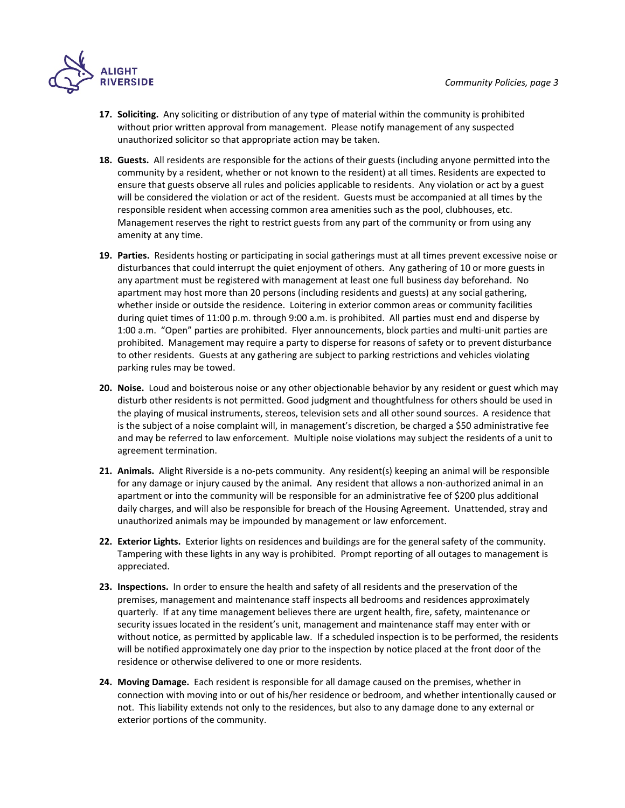

- **17. Soliciting.** Any soliciting or distribution of any type of material within the community is prohibited without prior written approval from management. Please notify management of any suspected unauthorized solicitor so that appropriate action may be taken.
- **18. Guests.** All residents are responsible for the actions of their guests (including anyone permitted into the community by a resident, whether or not known to the resident) at all times. Residents are expected to ensure that guests observe all rules and policies applicable to residents. Any violation or act by a guest will be considered the violation or act of the resident. Guests must be accompanied at all times by the responsible resident when accessing common area amenities such as the pool, clubhouses, etc. Management reserves the right to restrict guests from any part of the community or from using any amenity at any time.
- **19. Parties.** Residents hosting or participating in social gatherings must at all times prevent excessive noise or disturbances that could interrupt the quiet enjoyment of others. Any gathering of 10 or more guests in any apartment must be registered with management at least one full business day beforehand. No apartment may host more than 20 persons (including residents and guests) at any social gathering, whether inside or outside the residence. Loitering in exterior common areas or community facilities during quiet times of 11:00 p.m. through 9:00 a.m. is prohibited. All parties must end and disperse by 1:00 a.m. "Open" parties are prohibited. Flyer announcements, block parties and multi‐unit parties are prohibited. Management may require a party to disperse for reasons of safety or to prevent disturbance to other residents. Guests at any gathering are subject to parking restrictions and vehicles violating parking rules may be towed.
- **20. Noise.** Loud and boisterous noise or any other objectionable behavior by any resident or guest which may disturb other residents is not permitted. Good judgment and thoughtfulness for others should be used in the playing of musical instruments, stereos, television sets and all other sound sources. A residence that is the subject of a noise complaint will, in management's discretion, be charged a \$50 administrative fee and may be referred to law enforcement. Multiple noise violations may subject the residents of a unit to agreement termination.
- **21. Animals.** Alight Riverside is a no‐pets community. Any resident(s) keeping an animal will be responsible for any damage or injury caused by the animal. Any resident that allows a non-authorized animal in an apartment or into the community will be responsible for an administrative fee of \$200 plus additional daily charges, and will also be responsible for breach of the Housing Agreement. Unattended, stray and unauthorized animals may be impounded by management or law enforcement.
- **22. Exterior Lights.** Exterior lights on residences and buildings are for the general safety of the community. Tampering with these lights in any way is prohibited. Prompt reporting of all outages to management is appreciated.
- **23. Inspections.** In order to ensure the health and safety of all residents and the preservation of the premises, management and maintenance staff inspects all bedrooms and residences approximately quarterly. If at any time management believes there are urgent health, fire, safety, maintenance or security issues located in the resident's unit, management and maintenance staff may enter with or without notice, as permitted by applicable law. If a scheduled inspection is to be performed, the residents will be notified approximately one day prior to the inspection by notice placed at the front door of the residence or otherwise delivered to one or more residents.
- **24. Moving Damage.** Each resident is responsible for all damage caused on the premises, whether in connection with moving into or out of his/her residence or bedroom, and whether intentionally caused or not. This liability extends not only to the residences, but also to any damage done to any external or exterior portions of the community.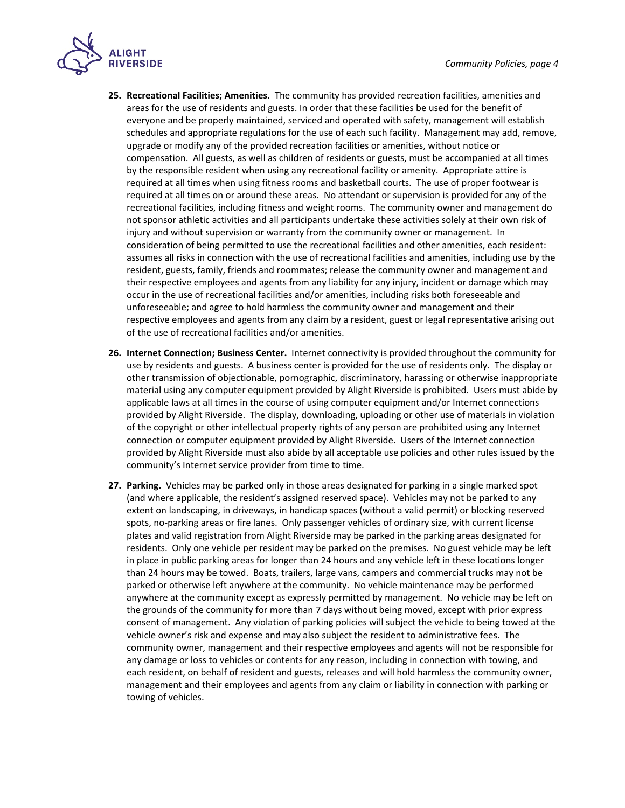

- **25. Recreational Facilities; Amenities.** The community has provided recreation facilities, amenities and areas for the use of residents and guests. In order that these facilities be used for the benefit of everyone and be properly maintained, serviced and operated with safety, management will establish schedules and appropriate regulations for the use of each such facility. Management may add, remove, upgrade or modify any of the provided recreation facilities or amenities, without notice or compensation.All guests, as well as children of residents or guests, must be accompanied at all times by the responsible resident when using any recreational facility or amenity. Appropriate attire is required at all times when using fitness rooms and basketball courts. The use of proper footwear is required at all times on or around these areas. No attendant or supervision is provided for any of the recreational facilities, including fitness and weight rooms. The community owner and management do not sponsor athletic activities and all participants undertake these activities solely at their own risk of injury and without supervision or warranty from the community owner or management. In consideration of being permitted to use the recreational facilities and other amenities, each resident: assumes all risks in connection with the use of recreational facilities and amenities, including use by the resident, guests, family, friends and roommates; release the community owner and management and their respective employees and agents from any liability for any injury, incident or damage which may occur in the use of recreational facilities and/or amenities, including risks both foreseeable and unforeseeable; and agree to hold harmless the community owner and management and their respective employees and agents from any claim by a resident, guest or legal representative arising out of the use of recreational facilities and/or amenities.
- **26. Internet Connection; Business Center.** Internet connectivity is provided throughout the community for use by residents and guests. A business center is provided for the use of residents only. The display or other transmission of objectionable, pornographic, discriminatory, harassing or otherwise inappropriate material using any computer equipment provided by Alight Riverside is prohibited. Users must abide by applicable laws at all times in the course of using computer equipment and/or Internet connections provided by Alight Riverside. The display, downloading, uploading or other use of materials in violation of the copyright or other intellectual property rights of any person are prohibited using any Internet connection or computer equipment provided by Alight Riverside. Users of the Internet connection provided by Alight Riverside must also abide by all acceptable use policies and other rules issued by the community's Internet service provider from time to time.
- **27. Parking.** Vehicles may be parked only in those areas designated for parking in a single marked spot (and where applicable, the resident's assigned reserved space). Vehicles may not be parked to any extent on landscaping, in driveways, in handicap spaces (without a valid permit) or blocking reserved spots, no-parking areas or fire lanes. Only passenger vehicles of ordinary size, with current license plates and valid registration from Alight Riverside may be parked in the parking areas designated for residents. Only one vehicle per resident may be parked on the premises. No guest vehicle may be left in place in public parking areas for longer than 24 hours and any vehicle left in these locations longer than 24 hours may be towed. Boats, trailers, large vans, campers and commercial trucks may not be parked or otherwise left anywhere at the community. No vehicle maintenance may be performed anywhere at the community except as expressly permitted by management. No vehicle may be left on the grounds of the community for more than 7 days without being moved, except with prior express consent of management. Any violation of parking policies will subject the vehicle to being towed at the vehicle owner's risk and expense and may also subject the resident to administrative fees. The community owner, management and their respective employees and agents will not be responsible for any damage or loss to vehicles or contents for any reason, including in connection with towing, and each resident, on behalf of resident and guests, releases and will hold harmless the community owner, management and their employees and agents from any claim or liability in connection with parking or towing of vehicles.